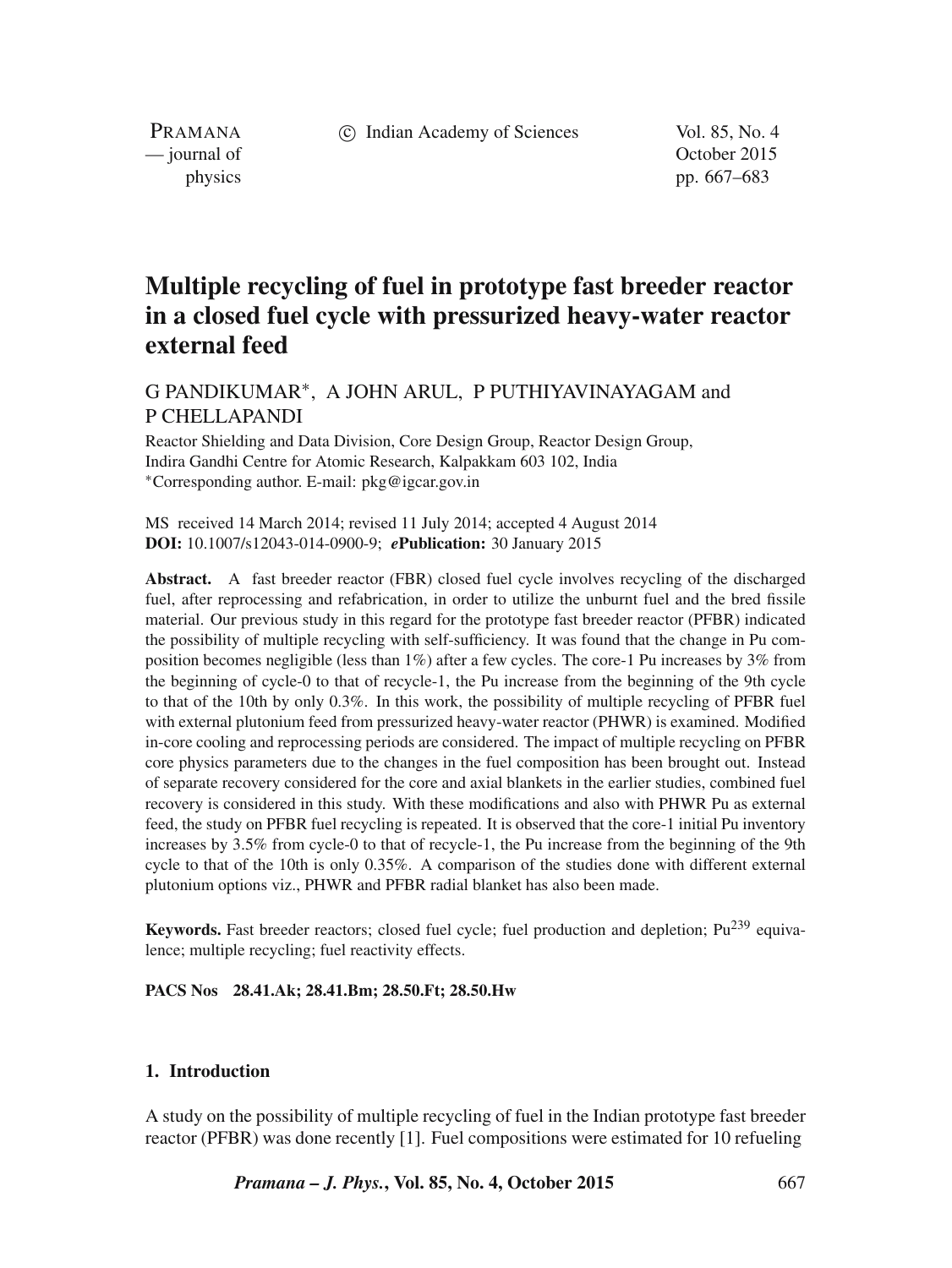c Indian Academy of Sciences Vol. 85, No. 4

PRAMANA — journal of Contract of Contract of Contract of Contract of Contract of Contract of Contract of Contract of Contract of Contract of Contract of Contract of Contract of Contract of Contract of Contract of Contract of Contr

physics pp. 667–683

# **Multiple recycling of fuel in prototype fast breeder reactor in a closed fuel cycle with pressurized heavy-water reactor external feed**

G PANDIKUMAR<sup>∗</sup> , A JOHN ARUL, P PUTHIYAVINAYAGAM and P CHELLAPANDI

Reactor Shielding and Data Division, Core Design Group, Reactor Design Group, Indira Gandhi Centre for Atomic Research, Kalpakkam 603 102, India <sup>∗</sup>Corresponding author. E-mail: pkg@igcar.gov.in

MS received 14 March 2014; revised 11 July 2014; accepted 4 August 2014 **DOI:** 10.1007/s12043-014-0900-9; *e***Publication:** 30 January 2015

**Abstract.** A fast breeder reactor (FBR) closed fuel cycle involves recycling of the discharged fuel, after reprocessing and refabrication, in order to utilize the unburnt fuel and the bred fissile material. Our previous study in this regard for the prototype fast breeder reactor (PFBR) indicated the possibility of multiple recycling with self-sufficiency. It was found that the change in Pu composition becomes negligible (less than 1%) after a few cycles. The core-1 Pu increases by 3% from the beginning of cycle-0 to that of recycle-1, the Pu increase from the beginning of the 9th cycle to that of the 10th by only 0.3%. In this work, the possibility of multiple recycling of PFBR fuel with external plutonium feed from pressurized heavy-water reactor (PHWR) is examined. Modified in-core cooling and reprocessing periods are considered. The impact of multiple recycling on PFBR core physics parameters due to the changes in the fuel composition has been brought out. Instead of separate recovery considered for the core and axial blankets in the earlier studies, combined fuel recovery is considered in this study. With these modifications and also with PHWR Pu as external feed, the study on PFBR fuel recycling is repeated. It is observed that the core-1 initial Pu inventory increases by 3.5% from cycle-0 to that of recycle-1, the Pu increase from the beginning of the 9th cycle to that of the 10th is only 0.35%. A comparison of the studies done with different external plutonium options viz., PHWR and PFBR radial blanket has also been made.

Keywords. Fast breeder reactors; closed fuel cycle; fuel production and depletion; Pu<sup>239</sup> equivalence; multiple recycling; fuel reactivity effects.

#### **PACS Nos 28.41.Ak; 28.41.Bm; 28.50.Ft; 28.50.Hw**

# **1. Introduction**

A study on the possibility of multiple recycling of fuel in the Indian prototype fast breeder reactor (PFBR) was done recently [1]. Fuel compositions were estimated for 10 refueling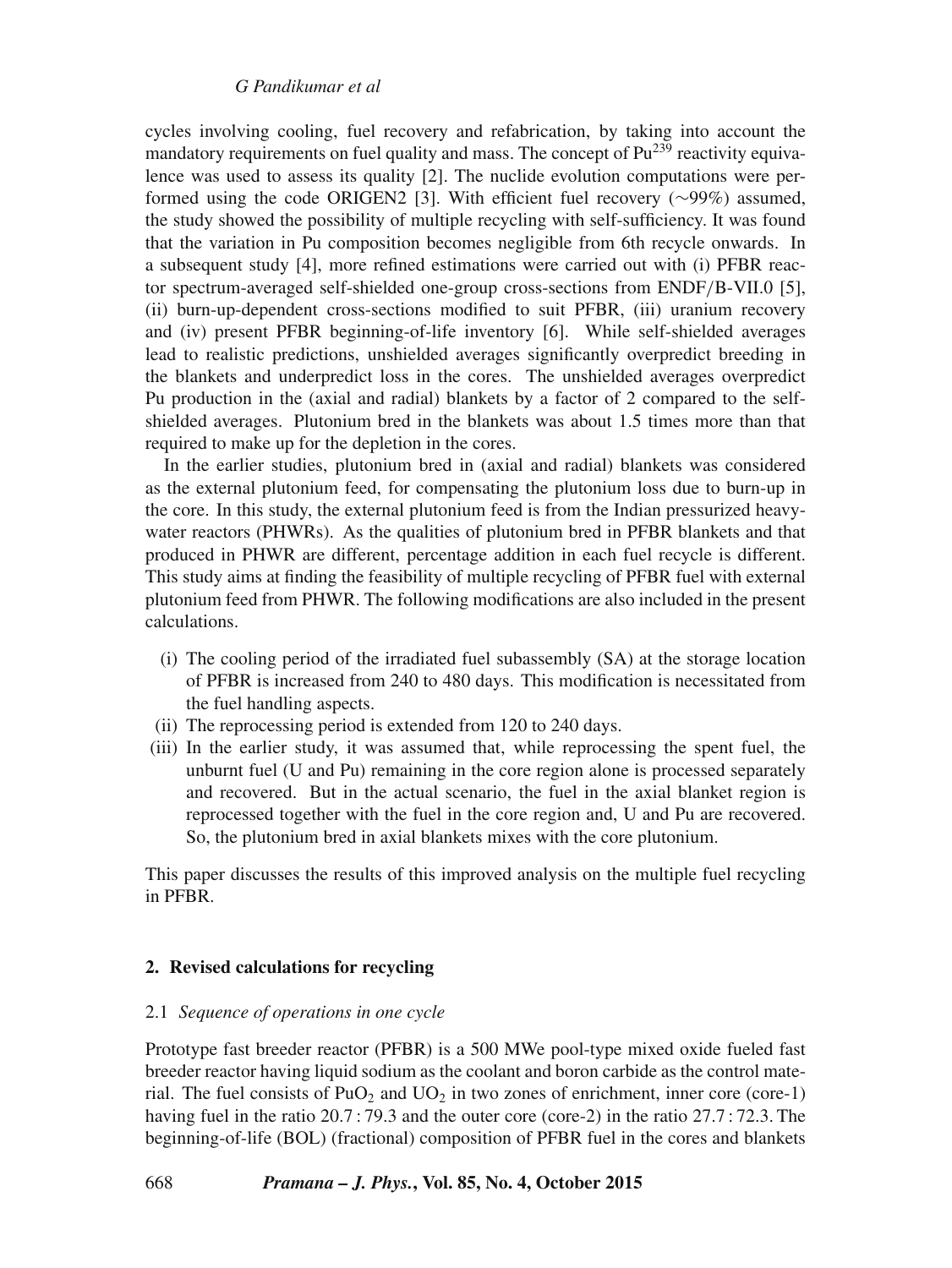cycles involving cooling, fuel recovery and refabrication, by taking into account the mandatory requirements on fuel quality and mass. The concept of  $Pu^{239}$  reactivity equivalence was used to assess its quality [2]. The nuclide evolution computations were performed using the code ORIGEN2 [3]. With efficient fuel recovery (∼99%) assumed, the study showed the possibility of multiple recycling with self-sufficiency. It was found that the variation in Pu composition becomes negligible from 6th recycle onwards. In a subsequent study [4], more refined estimations were carried out with (i) PFBR reactor spectrum-averaged self-shielded one-group cross-sections from ENDF/B-VII.0 [5], (ii) burn-up-dependent cross-sections modified to suit PFBR, (iii) uranium recovery and (iv) present PFBR beginning-of-life inventory [6]. While self-shielded averages lead to realistic predictions, unshielded averages significantly overpredict breeding in the blankets and underpredict loss in the cores. The unshielded averages overpredict Pu production in the (axial and radial) blankets by a factor of 2 compared to the selfshielded averages. Plutonium bred in the blankets was about 1.5 times more than that required to make up for the depletion in the cores.

In the earlier studies, plutonium bred in (axial and radial) blankets was considered as the external plutonium feed, for compensating the plutonium loss due to burn-up in the core. In this study, the external plutonium feed is from the Indian pressurized heavywater reactors (PHWRs). As the qualities of plutonium bred in PFBR blankets and that produced in PHWR are different, percentage addition in each fuel recycle is different. This study aims at finding the feasibility of multiple recycling of PFBR fuel with external plutonium feed from PHWR. The following modifications are also included in the present calculations.

- (i) The cooling period of the irradiated fuel subassembly (SA) at the storage location of PFBR is increased from 240 to 480 days. This modification is necessitated from the fuel handling aspects.
- (ii) The reprocessing period is extended from 120 to 240 days.
- (iii) In the earlier study, it was assumed that, while reprocessing the spent fuel, the unburnt fuel (U and Pu) remaining in the core region alone is processed separately and recovered. But in the actual scenario, the fuel in the axial blanket region is reprocessed together with the fuel in the core region and, U and Pu are recovered. So, the plutonium bred in axial blankets mixes with the core plutonium.

This paper discusses the results of this improved analysis on the multiple fuel recycling in PFBR.

## **2. Revised calculations for recycling**

## 2.1 *Sequence of operations in one cycle*

Prototype fast breeder reactor (PFBR) is a 500 MWe pool-type mixed oxide fueled fast breeder reactor having liquid sodium as the coolant and boron carbide as the control material. The fuel consists of  $PuO<sub>2</sub>$  and  $UO<sub>2</sub>$  in two zones of enrichment, inner core (core-1) having fuel in the ratio 20.7 : 79.3 and the outer core (core-2) in the ratio 27.7 : 72.3. The beginning-of-life (BOL) (fractional) composition of PFBR fuel in the cores and blankets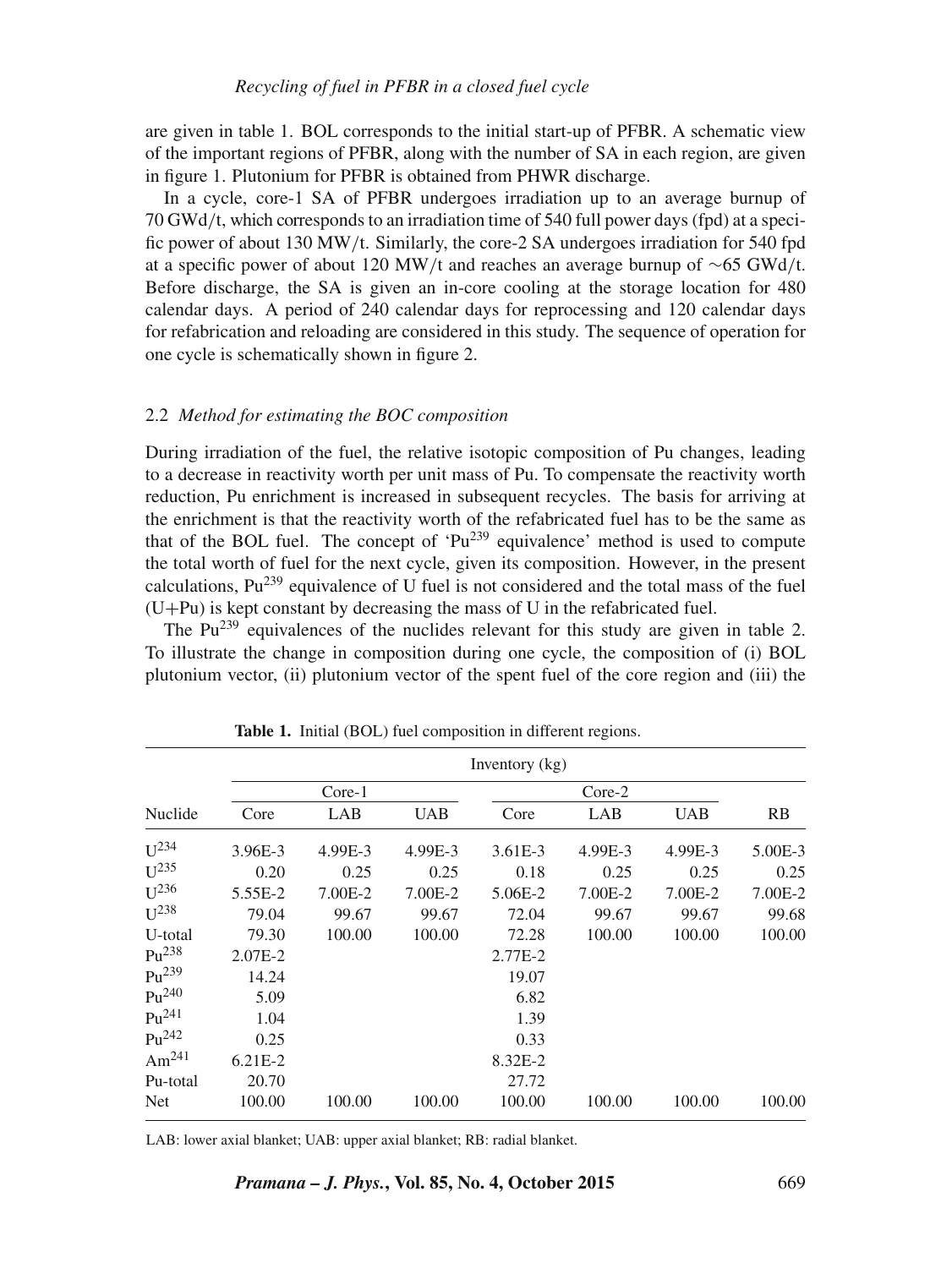are given in table 1. BOL corresponds to the initial start-up of PFBR. A schematic view of the important regions of PFBR, along with the number of SA in each region, are given in figure 1. Plutonium for PFBR is obtained from PHWR discharge.

In a cycle, core-1 SA of PFBR undergoes irradiation up to an average burnup of 70 GWd/t, which corresponds to an irradiation time of 540 full power days (fpd) at a specific power of about 130 MW/t. Similarly, the core-2 SA undergoes irradiation for 540 fpd at a specific power of about 120 MW/t and reaches an average burnup of ∼65 GWd/t. Before discharge, the SA is given an in-core cooling at the storage location for 480 calendar days. A period of 240 calendar days for reprocessing and 120 calendar days for refabrication and reloading are considered in this study. The sequence of operation for one cycle is schematically shown in figure 2.

#### 2.2 *Method for estimating the BOC composition*

During irradiation of the fuel, the relative isotopic composition of Pu changes, leading to a decrease in reactivity worth per unit mass of Pu. To compensate the reactivity worth reduction, Pu enrichment is increased in subsequent recycles. The basis for arriving at the enrichment is that the reactivity worth of the refabricated fuel has to be the same as that of the BOL fuel. The concept of  $Pu^{239}$  equivalence' method is used to compute the total worth of fuel for the next cycle, given its composition. However, in the present calculations,  $Pu^{239}$  equivalence of U fuel is not considered and the total mass of the fuel  $(U+Pu)$  is kept constant by decreasing the mass of U in the refabricated fuel.

The Pu<sup>239</sup> equivalences of the nuclides relevant for this study are given in table 2. To illustrate the change in composition during one cycle, the composition of (i) BOL plutonium vector, (ii) plutonium vector of the spent fuel of the core region and (iii) the

|                   | Inventory $(kg)$ |         |            |         |         |            |           |  |  |  |  |  |
|-------------------|------------------|---------|------------|---------|---------|------------|-----------|--|--|--|--|--|
|                   |                  | Core-1  |            |         | Core-2  |            |           |  |  |  |  |  |
| Nuclide           | Core             | LAB     | <b>UAB</b> | Core    | LAB     | <b>UAB</b> | <b>RB</b> |  |  |  |  |  |
| $U^{234}$         | 3.96E-3          | 4.99E-3 | 4.99E-3    | 3.61E-3 | 4.99E-3 | 4.99E-3    | 5.00E-3   |  |  |  |  |  |
| $U^{235}$         | 0.20             | 0.25    | 0.25       | 0.18    | 0.25    | 0.25       | 0.25      |  |  |  |  |  |
| $U^{236}$         | 5.55E-2          | 7.00E-2 | 7.00E-2    | 5.06E-2 | 7.00E-2 | 7.00E-2    | 7.00E-2   |  |  |  |  |  |
| $U^{238}$         | 79.04            | 99.67   | 99.67      | 72.04   | 99.67   | 99.67      | 99.68     |  |  |  |  |  |
| U-total           | 79.30            | 100.00  | 100.00     | 72.28   | 100.00  | 100.00     | 100.00    |  |  |  |  |  |
| $Pu^{238}$        | 2.07E-2          |         |            | 2.77E-2 |         |            |           |  |  |  |  |  |
| $Pu^{239}$        | 14.24            |         |            | 19.07   |         |            |           |  |  |  |  |  |
| $P_{11}^{240}$    | 5.09             |         |            | 6.82    |         |            |           |  |  |  |  |  |
| $P_{11}^{241}$    | 1.04             |         |            | 1.39    |         |            |           |  |  |  |  |  |
| $P_{11}^{242}$    | 0.25             |         |            | 0.33    |         |            |           |  |  |  |  |  |
| Am <sup>241</sup> | $6.21E-2$        |         |            | 8.32E-2 |         |            |           |  |  |  |  |  |
| Pu-total          | 20.70            |         |            | 27.72   |         |            |           |  |  |  |  |  |
| Net               | 100.00           | 100.00  | 100.00     | 100.00  | 100.00  | 100.00     | 100.00    |  |  |  |  |  |

**Table 1.** Initial (BOL) fuel composition in different regions.

LAB: lower axial blanket; UAB: upper axial blanket; RB: radial blanket.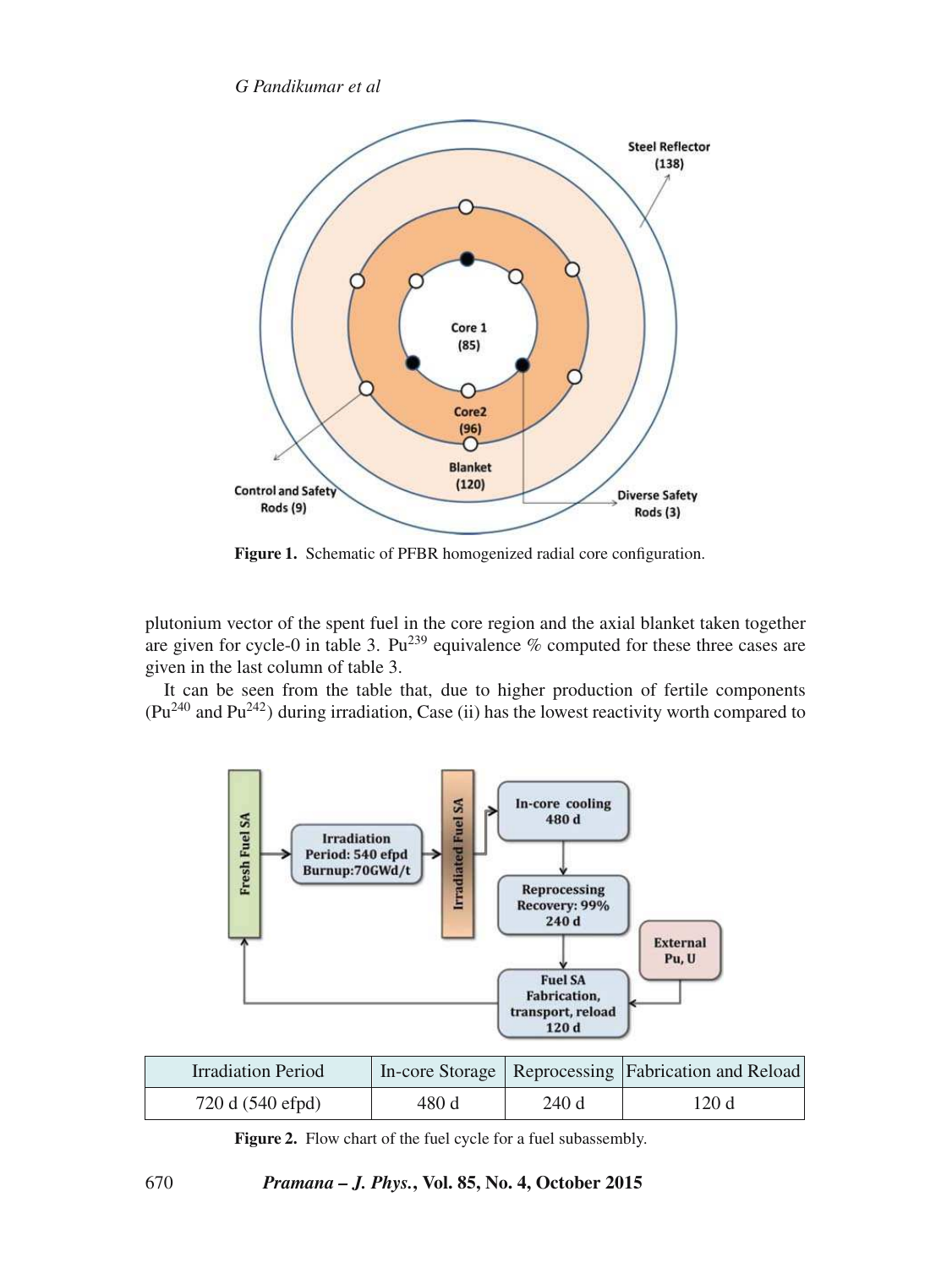

Figure 1. Schematic of PFBR homogenized radial core configuration.

plutonium vector of the spent fuel in the core region and the axial blanket taken together are given for cycle-0 in table 3.  $Pu^{239}$  equivalence % computed for these three cases are given in the last column of table 3.

It can be seen from the table that, due to higher production of fertile components  $(Pu^{240}$  and  $Pu^{242})$  during irradiation, Case (ii) has the lowest reactivity worth compared to



| <b>Irradiation Period</b> |       |      | In-core Storage   Reprocessing   Fabrication and Reload |
|---------------------------|-------|------|---------------------------------------------------------|
| 720 d (540 efpd)          | 480 d | 240d | 120 d                                                   |

Figure 2. Flow chart of the fuel cycle for a fuel subassembly.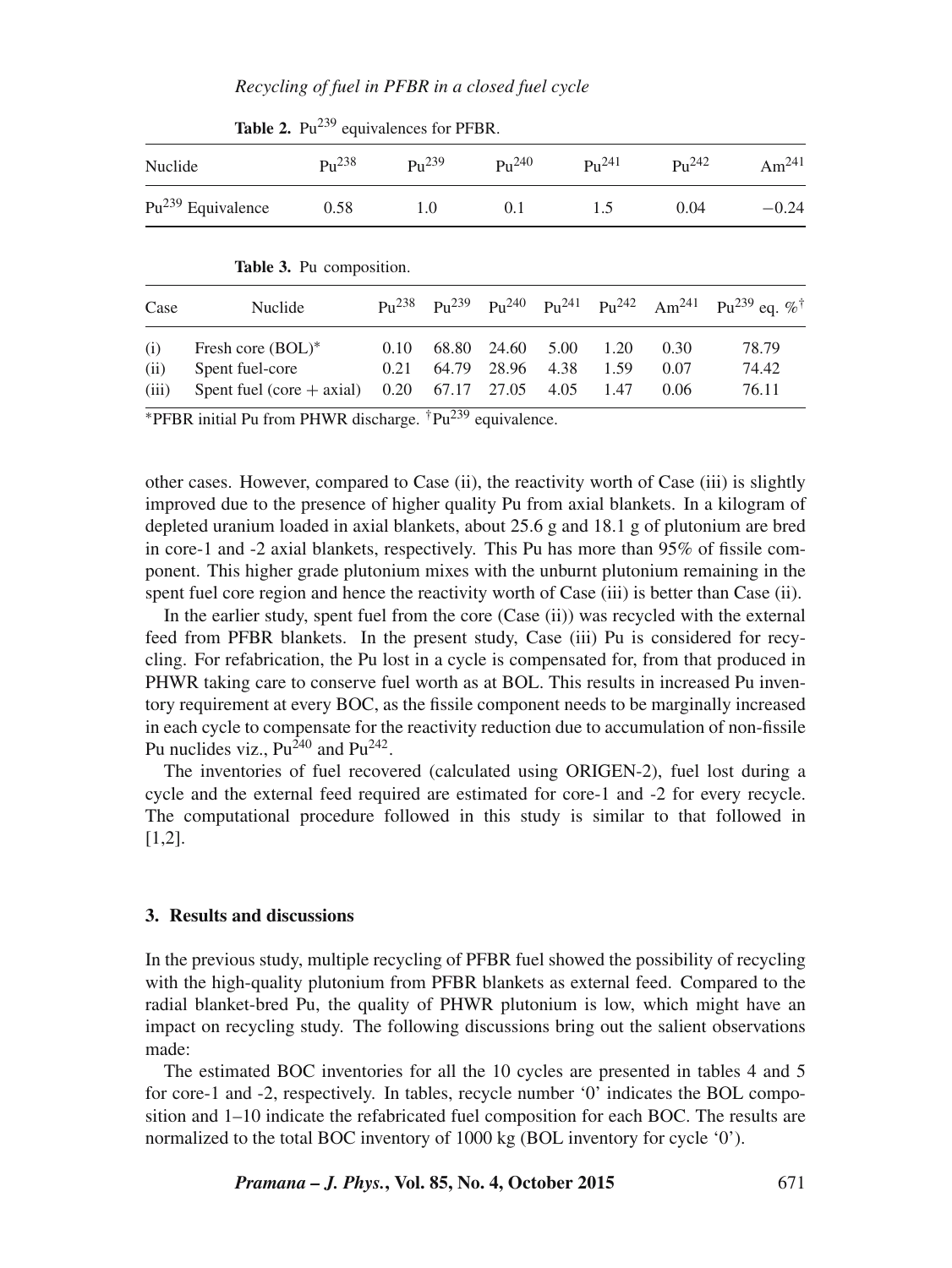| Nuclide              | $P_{11}^{238}$                                                      | $P_{11}^{239}$<br>1.0 |                         | $P_{11}^{240}$          |                      | $P_{11}^{241}$       | $P_{11}^{242}$       | Am <sup>241</sup>                                                                                                              |  |
|----------------------|---------------------------------------------------------------------|-----------------------|-------------------------|-------------------------|----------------------|----------------------|----------------------|--------------------------------------------------------------------------------------------------------------------------------|--|
|                      | $Pu^{239}$ Equivalence<br>0.58                                      |                       |                         | 0.1                     |                      | 1.5                  | 0.04                 | $-0.24$                                                                                                                        |  |
|                      | Table 3. Pu composition.                                            |                       |                         |                         |                      |                      |                      |                                                                                                                                |  |
| Case                 | Nuclide                                                             | $P_{11}^{238}$        |                         |                         |                      |                      |                      | Pu <sup>239</sup> Pu <sup>240</sup> Pu <sup>241</sup> Pu <sup>242</sup> Am <sup>241</sup> Pu <sup>239</sup> eq. % <sup>†</sup> |  |
| (i)<br>(ii)<br>(iii) | Fresh core (BOL)*<br>Spent fuel-core<br>Spent fuel (core $+$ axial) | 0.10<br>0.21<br>0.20  | 68.80<br>64.79<br>67.17 | 24.60<br>28.96<br>27.05 | 5.00<br>4.38<br>4.05 | 1.20<br>1.59<br>1.47 | 0.30<br>0.07<br>0.06 | 78.79<br>74.42<br>76.11                                                                                                        |  |

**Table 2.** Pu<sup>239</sup> equivalences for PFBR.

 $*$ PFBR initial Pu from PHWR discharge.  $*$ Pu<sup>239</sup> equivalence.

other cases. However, compared to Case (ii), the reactivity worth of Case (iii) is slightly improved due to the presence of higher quality Pu from axial blankets. In a kilogram of depleted uranium loaded in axial blankets, about 25.6 g and 18.1 g of plutonium are bred in core-1 and -2 axial blankets, respectively. This Pu has more than 95% of fissile component. This higher grade plutonium mixes with the unburnt plutonium remaining in the spent fuel core region and hence the reactivity worth of Case (iii) is better than Case (ii).

In the earlier study, spent fuel from the core (Case (ii)) was recycled with the external feed from PFBR blankets. In the present study, Case (iii) Pu is considered for recycling. For refabrication, the Pu lost in a cycle is compensated for, from that produced in PHWR taking care to conserve fuel worth as at BOL. This results in increased Pu inventory requirement at every BOC, as the fissile component needs to be marginally increased in each cycle to compensate for the reactivity reduction due to accumulation of non-fissile Pu nuclides viz.,  $Pu^{240}$  and  $Pu^{242}$ .

The inventories of fuel recovered (calculated using ORIGEN-2), fuel lost during a cycle and the external feed required are estimated for core-1 and -2 for every recycle. The computational procedure followed in this study is similar to that followed in [1,2].

# **3. Results and discussions**

In the previous study, multiple recycling of PFBR fuel showed the possibility of recycling with the high-quality plutonium from PFBR blankets as external feed. Compared to the radial blanket-bred Pu, the quality of PHWR plutonium is low, which might have an impact on recycling study. The following discussions bring out the salient observations made:

The estimated BOC inventories for all the 10 cycles are presented in tables 4 and 5 for core-1 and -2, respectively. In tables, recycle number '0' indicates the BOL composition and 1–10 indicate the refabricated fuel composition for each BOC. The results are normalized to the total BOC inventory of 1000 kg (BOL inventory for cycle '0').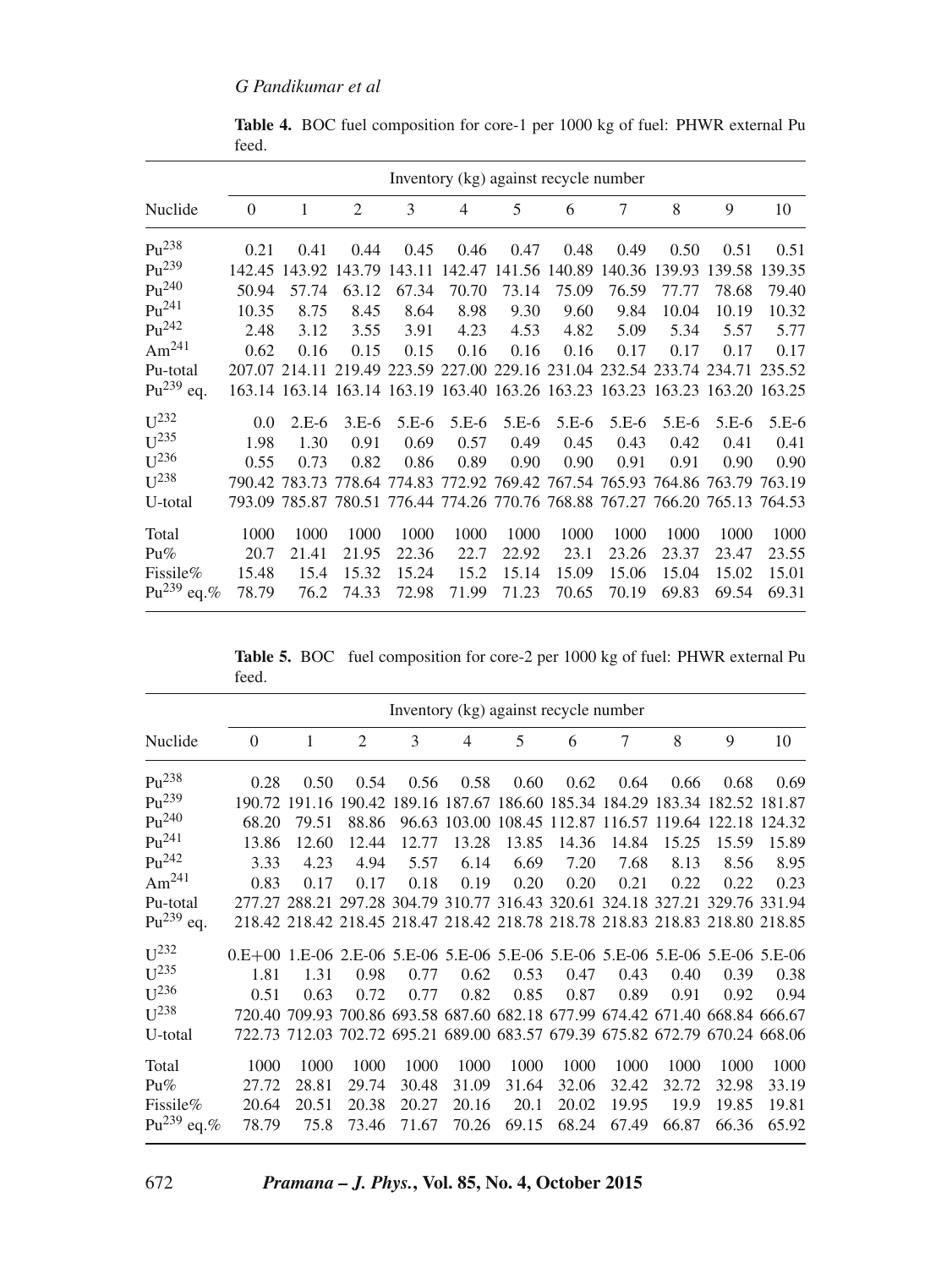|                    | Inventory (kg) against recycle number |         |                                                                              |         |         |         |               |         |         |         |         |
|--------------------|---------------------------------------|---------|------------------------------------------------------------------------------|---------|---------|---------|---------------|---------|---------|---------|---------|
| Nuclide            | $\Omega$                              | 1       | 2                                                                            | 3       | 4       | 5       | 6             | 7       | 8       | 9       | 10      |
| $Pu^{238}$         | 0.21                                  | 0.41    | 0.44                                                                         | 0.45    | 0.46    | 0.47    | 0.48          | 0.49    | 0.50    | 0.51    | 0.51    |
| $Pu^{239}$         | 142.45                                | 143.92  | 143.79                                                                       | 143.11  | 142.47  |         | 141.56 140.89 | 140.36  | 139.93  | 139.58  | 139.35  |
| $Pu^{240}$         | 50.94                                 | 57.74   | 63.12                                                                        | 67.34   | 70.70   | 73.14   | 75.09         | 76.59   | 77.77   | 78.68   | 79.40   |
| $P_{11}^{241}$     | 10.35                                 | 8.75    | 8.45                                                                         | 8.64    | 8.98    | 9.30    | 9.60          | 9.84    | 10.04   | 10.19   | 10.32   |
| $\rm{Pu}^{242}$    | 2.48                                  | 3.12    | 3.55                                                                         | 3.91    | 4.23    | 4.53    | 4.82          | 5.09    | 5.34    | 5.57    | 5.77    |
| Am $^{241}$        | 0.62                                  | 0.16    | 0.15                                                                         | 0.15    | 0.16    | 0.16    | 0.16          | 0.17    | 0.17    | 0.17    | 0.17    |
| Pu-total           |                                       |         | 207.07 214.11 219.49 223.59 227.00 229.16 231.04 232.54 233.74 234.71 235.52 |         |         |         |               |         |         |         |         |
| $Pu^{239}$ eq.     |                                       |         | 163.14 163.14 163.14 163.19 163.40 163.26 163.23 163.23 163.23 163.20 163.25 |         |         |         |               |         |         |         |         |
| $U^{232}$          | 0.0                                   | $2.E-6$ | $3.E-6$                                                                      | $5.E-6$ | $5.E-6$ | $5.E-6$ | $5.E-6$       | $5.E-6$ | $5.E-6$ | $5.E-6$ | $5.E-6$ |
| I <sup>235</sup>   | 1.98                                  | 1.30    | 0.91                                                                         | 0.69    | 0.57    | 0.49    | 0.45          | 0.43    | 0.42    | 0.41    | 0.41    |
| $U^{236}$          | 0.55                                  | 0.73    | 0.82                                                                         | 0.86    | 0.89    | 0.90    | 0.90          | 0.91    | 0.91    | 0.90    | 0.90    |
| $11^{238}$         |                                       |         | 790.42 783.73 778.64 774.83 772.92 769.42 767.54 765.93 764.86 763.79 763.19 |         |         |         |               |         |         |         |         |
| U-total            |                                       |         | 793.09 785.87 780.51 776.44 774.26 770.76 768.88 767.27 766.20 765.13 764.53 |         |         |         |               |         |         |         |         |
| Total              | 1000                                  | 1000    | 1000                                                                         | 1000    | 1000    | 1000    | 1000          | 1000    | 1000    | 1000    | 1000    |
| $Pu\%$             | 20.7                                  | 21.41   | 21.95                                                                        | 22.36   | 22.7    | 22.92   | 23.1          | 23.26   | 23.37   | 23.47   | 23.55   |
| Fissile%           | 15.48                                 | 15.4    | 15.32                                                                        | 15.24   | 15.2    | 15.14   | 15.09         | 15.06   | 15.04   | 15.02   | 15.01   |
| $Pu^{239}$<br>eq.% | 78.79                                 | 76.2    | 74.33                                                                        | 72.98   | 71.99   | 71.23   | 70.65         | 70.19   | 69.83   | 69.54   | 69.31   |

**Table 4.** BOC fuel composition for core-1 per 1000 kg of fuel: PHWR external Pu feed.

**Table 5.** BOC fuel composition for core-2 per 1000 kg of fuel: PHWR external Pu feed.

|                                                                            | Inventory (kg) against recycle number                                               |               |                                                                              |                                                                |                |       |                                                        |       |       |       |       |  |  |
|----------------------------------------------------------------------------|-------------------------------------------------------------------------------------|---------------|------------------------------------------------------------------------------|----------------------------------------------------------------|----------------|-------|--------------------------------------------------------|-------|-------|-------|-------|--|--|
| Nuclide                                                                    | $\Omega$                                                                            | 1             | 2                                                                            | 3                                                              | $\overline{4}$ | 5     | 6                                                      | 7     | 8     | 9     | 10    |  |  |
| $P_{11}^{238}$                                                             | 0.28                                                                                | 0.50          | 0.54                                                                         | 0.56                                                           | 0.58           | 0.60  | 0.62                                                   | 0.64  | 0.66  | 0.68  | 0.69  |  |  |
| $Pu^{239}$                                                                 |                                                                                     | 190.72 191.16 |                                                                              | 190.42 189.16 187.67 186.60 185.34 184.29 183.34 182.52 181.87 |                |       |                                                        |       |       |       |       |  |  |
| $P_{11}^{240}$                                                             | 68.20                                                                               | 79.51         | 88.86                                                                        |                                                                |                |       | 96.63 103.00 108.45 112.87 116.57 119.64 122.18 124.32 |       |       |       |       |  |  |
| $Pu^{241}$                                                                 | 13.86                                                                               | 12.60         | 12.44                                                                        | 12.77                                                          | 13.28          | 13.85 | 14.36                                                  | 14.84 | 15.25 | 15.59 | 15.89 |  |  |
| $P_{11}^{242}$                                                             | 3.33                                                                                | 4.23          | 4.94                                                                         | 5.57                                                           | 6.14           | 6.69  | 7.20                                                   | 7.68  | 8.13  | 8.56  | 8.95  |  |  |
| Am <sup>241</sup>                                                          | 0.83                                                                                | 0.17          | 0.17                                                                         | 0.18                                                           | 0.19           | 0.20  | 0.20                                                   | 0.21  | 0.22  | 0.22  | 0.23  |  |  |
| Pu-total                                                                   |                                                                                     |               | 277.27 288.21 297.28 304.79 310.77 316.43 320.61 324.18 327.21 329.76 331.94 |                                                                |                |       |                                                        |       |       |       |       |  |  |
| $Pu^{239}$ eq.                                                             |                                                                                     |               | 218.42 218.42 218.45 218.47 218.42 218.78 218.78 218.83 218.83 218.80 218.85 |                                                                |                |       |                                                        |       |       |       |       |  |  |
| $U^{232}$                                                                  | 0.E+00 1.E-06 2.E-06 5.E-06 5.E-06 5.E-06 5.E-06 5.E-06 5.E-06 5.E-06 5.E-06 5.E-06 |               |                                                                              |                                                                |                |       |                                                        |       |       |       |       |  |  |
| $\overline{1}$ $\overline{1}$ $\overline{2}$ $\overline{3}$ $\overline{5}$ | 1.81                                                                                | 1.31          | 0.98                                                                         | 0.77                                                           | 0.62           | 0.53  | 0.47                                                   | 0.43  | 0.40  | 0.39  | 0.38  |  |  |
| $U^{236}$                                                                  | 0.51                                                                                | 0.63          | 0.72                                                                         | 0.77                                                           | 0.82           | 0.85  | 0.87                                                   | 0.89  | 0.91  | 0.92  | 0.94  |  |  |
| $U^{238}$                                                                  |                                                                                     |               | 720.40 709.93 700.86 693.58 687.60 682.18 677.99 674.42 671.40 668.84 666.67 |                                                                |                |       |                                                        |       |       |       |       |  |  |
| U-total                                                                    |                                                                                     |               | 722.73 712.03 702.72 695.21 689.00 683.57 679.39 675.82 672.79 670.24 668.06 |                                                                |                |       |                                                        |       |       |       |       |  |  |
| Total                                                                      | 1000                                                                                | 1000          | 1000                                                                         | 1000                                                           | 1000           | 1000  | 1000                                                   | 1000  | 1000  | 1000  | 1000  |  |  |
| Pu%                                                                        | 27.72                                                                               | 28.81         | 29.74                                                                        | 30.48                                                          | 31.09          | 31.64 | 32.06                                                  | 32.42 | 32.72 | 32.98 | 33.19 |  |  |
| Fissile%                                                                   | 20.64                                                                               | 20.51         | 20.38                                                                        | 20.27                                                          | 20.16          | 20.1  | 20.02                                                  | 19.95 | 19.9  | 19.85 | 19.81 |  |  |
| $Pu^{239}$<br>eq. $%$                                                      | 78.79                                                                               | 75.8          | 73.46                                                                        | 71.67                                                          | 70.26          | 69.15 | 68.24                                                  | 67.49 | 66.87 | 66.36 | 65.92 |  |  |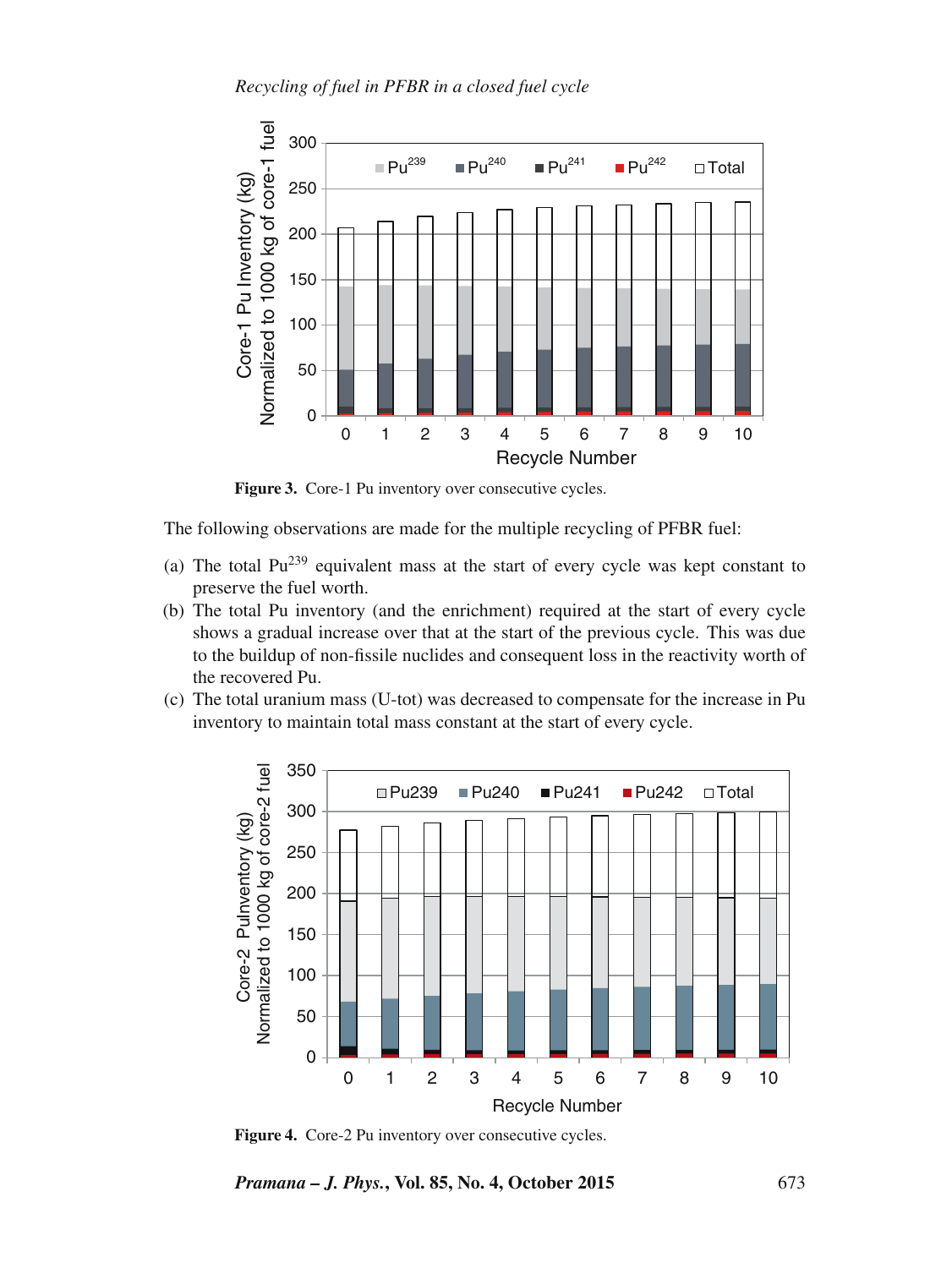

Figure 3. Core-1 Pu inventory over consecutive cycles.

The following observations are made for the multiple recycling of PFBR fuel:

- (a) The total  $Pu^{239}$  equivalent mass at the start of every cycle was kept constant to preserve the fuel worth.
- (b) The total Pu inventory (and the enrichment) required at the start of every cycle shows a gradual increase over that at the start of the previous cycle. This was due to the buildup of non-fissile nuclides and consequent loss in the reactivity worth of the recovered Pu.
- (c) The total uranium mass (U-tot) was decreased to compensate for the increase in Pu inventory to maintain total mass constant at the start of every cycle.



Figure 4. Core-2 Pu inventory over consecutive cycles.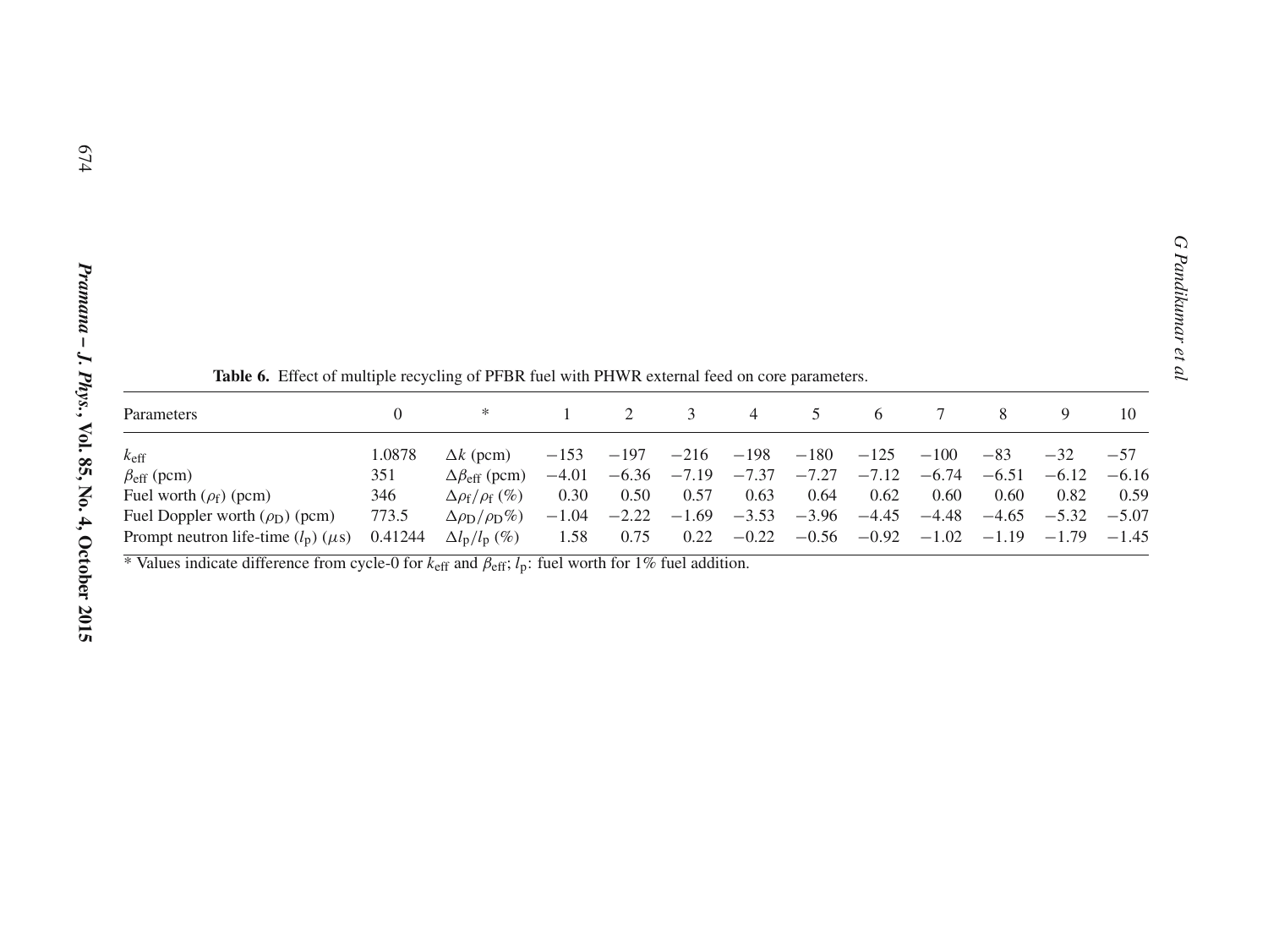| Parameters                                                                                                                         |         | ∗                                    |         |                         | 3    | 4            |                                         | 6      |        | 8               |                                                 | 10      |
|------------------------------------------------------------------------------------------------------------------------------------|---------|--------------------------------------|---------|-------------------------|------|--------------|-----------------------------------------|--------|--------|-----------------|-------------------------------------------------|---------|
| $k_{\text{eff}}$                                                                                                                   | 1.0878  | $\Delta k$ (pcm)                     | $-153$  | $-197$                  |      | $-216 - 198$ | $-180$                                  | $-125$ | $-100$ | $-83$           | $-32$                                           | $-57$   |
| $\beta_{\text{eff}}$ (pcm)                                                                                                         | 351     | $\Delta\beta_{\text{eff}}$ (pcm)     | $-4.01$ |                         |      |              | $-6.36$ $-7.19$ $-7.37$ $-7.27$ $-7.12$ |        |        | $-6.74$ $-6.51$ | $-6.12$                                         | $-6.16$ |
| Fuel worth $(\rho_f)$ (pcm)                                                                                                        | 346     | $\Delta \rho_f / \rho_f$ (%)         | 0.30    | 0.50                    | 0.57 | 0.63         | 0.64                                    | 0.62   | 0.60   | 0.60            | 0.82                                            | 0.59    |
| Fuel Doppler worth $(\rho_D)$ (pcm)                                                                                                | 773.5   | $\Delta \rho_{\rm D}/\rho_{\rm D}\%$ | $-1.04$ | $-2.22$ $-1.69$ $-3.53$ |      |              |                                         |        |        |                 | $-3.96$ $-4.45$ $-4.48$ $-4.65$ $-5.32$ $-5.07$ |         |
| Prompt neutron life-time $(l_p)$ ( $\mu$ s)                                                                                        | 0.41244 | $\Delta l_{\rm p}/l_{\rm p}$ (%)     | 1.58    | 0.75                    |      | $0.22 -0.22$ |                                         |        |        |                 | $-0.56$ $-0.92$ $-1.02$ $-1.19$ $-1.79$ $-1.45$ |         |
| * Values indicate difference from cycle-0 for $k_{\text{eff}}$ and $\beta_{\text{eff}}$ ; $l_p$ : fuel worth for 1% fuel addition. |         |                                      |         |                         |      |              |                                         |        |        |                 |                                                 |         |

**G** *G*<br>Table **6.** Effect of multiple recycling of PFBR fuel with PHWR external feed on core parameters.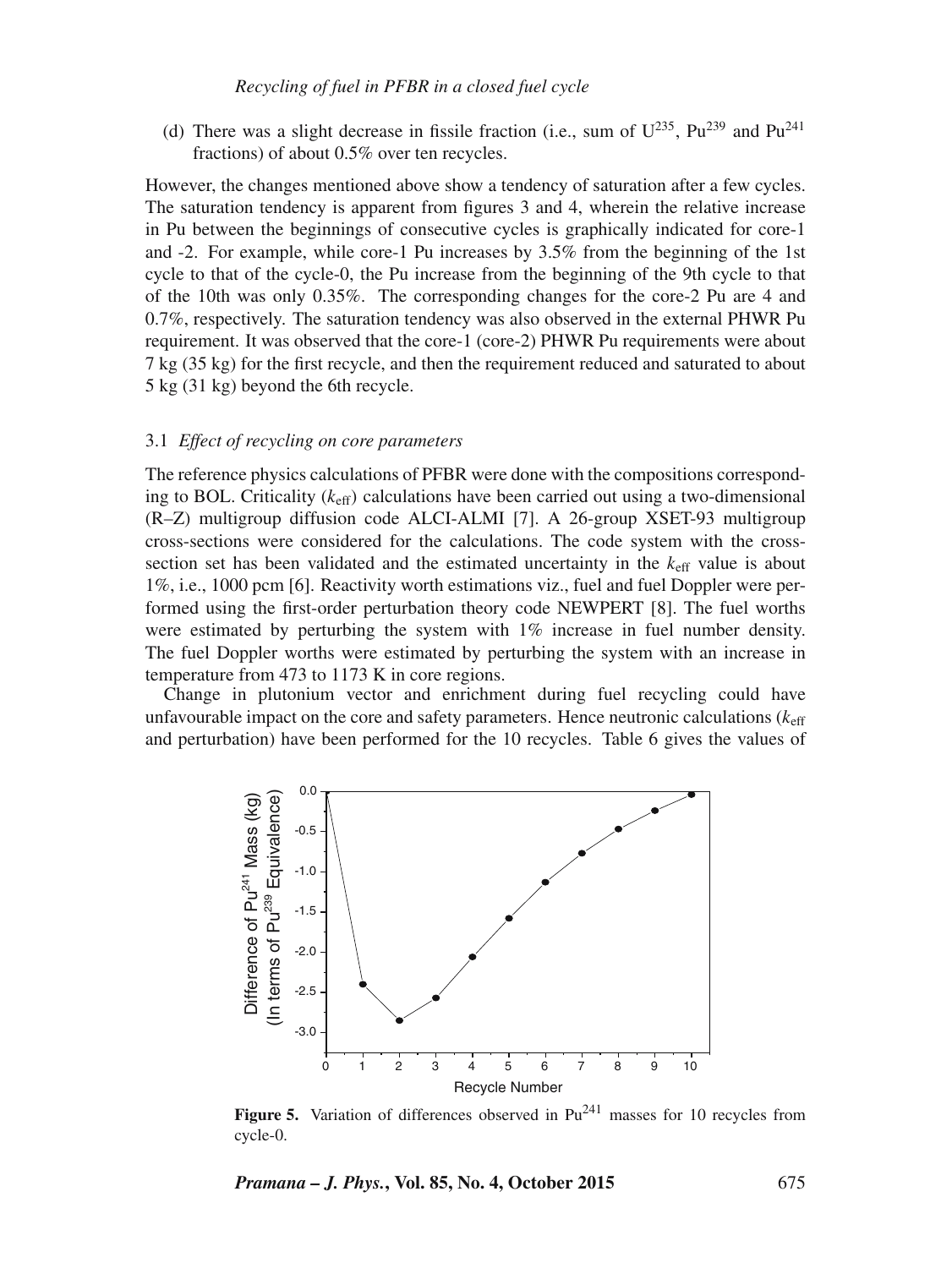(d) There was a slight decrease in fissile fraction (i.e., sum of  $U^{235}$ ,  $Pu^{239}$  and  $Pu^{241}$ fractions) of about 0.5% over ten recycles.

However, the changes mentioned above show a tendency of saturation after a few cycles. The saturation tendency is apparent from figures 3 and 4, wherein the relative increase in Pu between the beginnings of consecutive cycles is graphically indicated for core-1 and -2. For example, while core-1 Pu increases by 3.5% from the beginning of the 1st cycle to that of the cycle-0, the Pu increase from the beginning of the 9th cycle to that of the 10th was only 0.35%. The corresponding changes for the core-2 Pu are 4 and 0.7%, respectively. The saturation tendency was also observed in the external PHWR Pu requirement. It was observed that the core-1 (core-2) PHWR Pu requirements were about 7 kg (35 kg) for the first recycle, and then the requirement reduced and saturated to about 5 kg (31 kg) beyond the 6th recycle.

#### 3.1 *Effect of recycling on core parameters*

The reference physics calculations of PFBR were done with the compositions corresponding to BOL. Criticality  $(k<sub>eff</sub>)$  calculations have been carried out using a two-dimensional (R–Z) multigroup diffusion code ALCI-ALMI [7]. A 26-group XSET-93 multigroup cross-sections were considered for the calculations. The code system with the crosssection set has been validated and the estimated uncertainty in the  $k<sub>eff</sub>$  value is about 1%, i.e., 1000 pcm [6]. Reactivity worth estimations viz., fuel and fuel Doppler were performed using the first-order perturbation theory code NEWPERT [8]. The fuel worths were estimated by perturbing the system with 1% increase in fuel number density. The fuel Doppler worths were estimated by perturbing the system with an increase in temperature from 473 to 1173 K in core regions.

Change in plutonium vector and enrichment during fuel recycling could have unfavourable impact on the core and safety parameters. Hence neutronic calculations ( $k_{\text{eff}}$ and perturbation) have been performed for the 10 recycles. Table 6 gives the values of



**Figure 5.** Variation of differences observed in  $Pu^{241}$  masses for 10 recycles from cycle-0.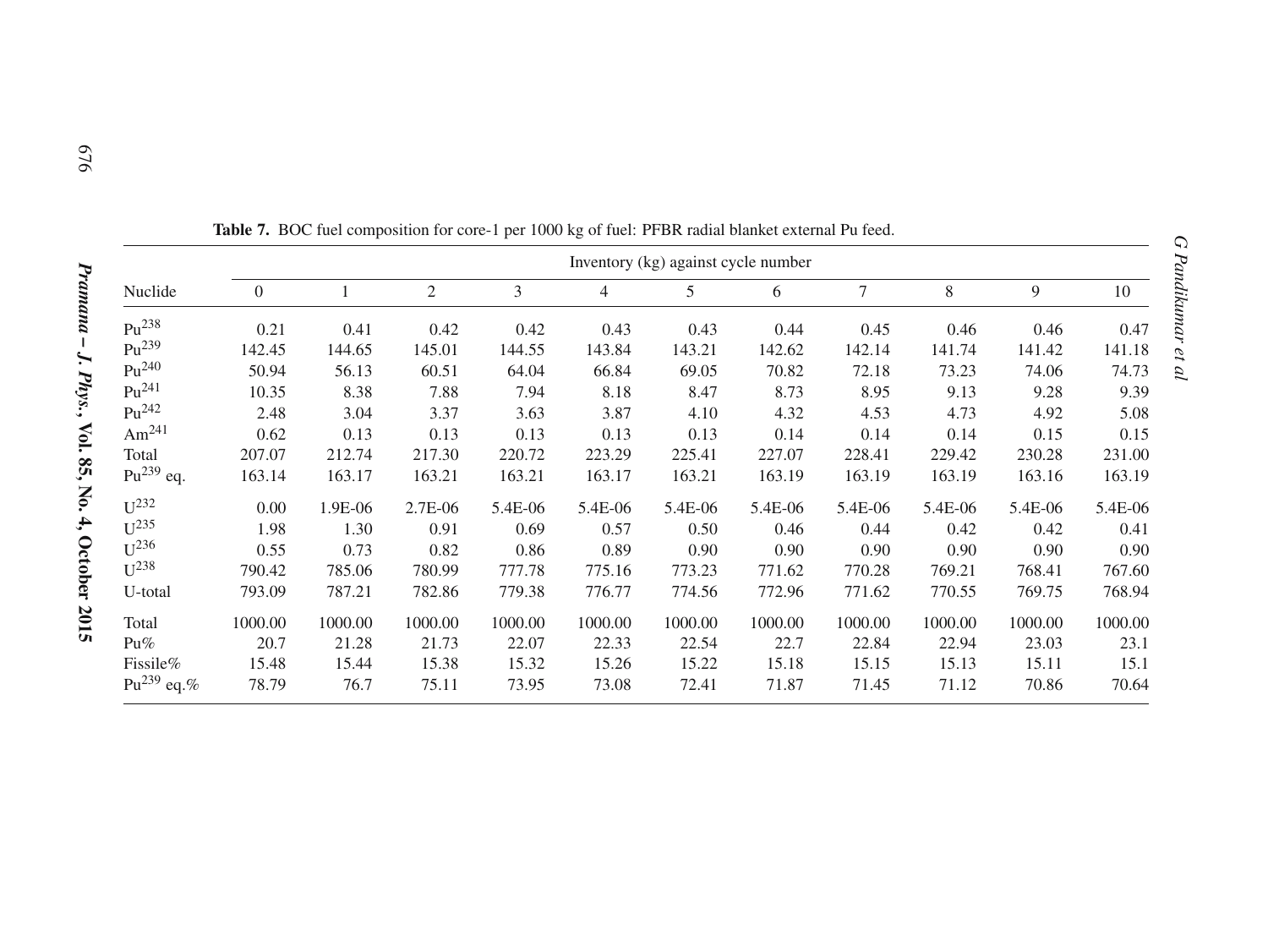|                        |                | Inventory (kg) against cycle number |                |         |         |         |         |         |         |         |         |  |  |
|------------------------|----------------|-------------------------------------|----------------|---------|---------|---------|---------|---------|---------|---------|---------|--|--|
| Nuclide                | $\overline{0}$ |                                     | $\mathfrak{2}$ | 3       | 4       | 5       | 6       | $\tau$  | 8       | 9       | 10      |  |  |
| $Pu^{238}$             | 0.21           | 0.41                                | 0.42           | 0.42    | 0.43    | 0.43    | 0.44    | 0.45    | 0.46    | 0.46    | 0.47    |  |  |
| $Pu^{239}$             | 142.45         | 144.65                              | 145.01         | 144.55  | 143.84  | 143.21  | 142.62  | 142.14  | 141.74  | 141.42  | 141.18  |  |  |
| $Pu^{240}$             | 50.94          | 56.13                               | 60.51          | 64.04   | 66.84   | 69.05   | 70.82   | 72.18   | 73.23   | 74.06   | 74.73   |  |  |
| $Pu^{241}$             | 10.35          | 8.38                                | 7.88           | 7.94    | 8.18    | 8.47    | 8.73    | 8.95    | 9.13    | 9.28    | 9.39    |  |  |
| $Pu^{242}$             | 2.48           | 3.04                                | 3.37           | 3.63    | 3.87    | 4.10    | 4.32    | 4.53    | 4.73    | 4.92    | 5.08    |  |  |
| Am <sup>241</sup>      | 0.62           | 0.13                                | 0.13           | 0.13    | 0.13    | 0.13    | 0.14    | 0.14    | 0.14    | 0.15    | 0.15    |  |  |
| Total                  | 207.07         | 212.74                              | 217.30         | 220.72  | 223.29  | 225.41  | 227.07  | 228.41  | 229.42  | 230.28  | 231.00  |  |  |
| $Pu^{239}$ eq.         | 163.14         | 163.17                              | 163.21         | 163.21  | 163.17  | 163.21  | 163.19  | 163.19  | 163.19  | 163.16  | 163.19  |  |  |
| $U^{232}$              | 0.00           | 1.9E-06                             | 2.7E-06        | 5.4E-06 | 5.4E-06 | 5.4E-06 | 5.4E-06 | 5.4E-06 | 5.4E-06 | 5.4E-06 | 5.4E-06 |  |  |
| $\mathbf{U}^{235}$     | 1.98           | 1.30                                | 0.91           | 0.69    | 0.57    | 0.50    | 0.46    | 0.44    | 0.42    | 0.42    | 0.41    |  |  |
| $U^{236}$              | 0.55           | 0.73                                | 0.82           | 0.86    | 0.89    | 0.90    | 0.90    | 0.90    | 0.90    | 0.90    | 0.90    |  |  |
| $U^{238}$              | 790.42         | 785.06                              | 780.99         | 777.78  | 775.16  | 773.23  | 771.62  | 770.28  | 769.21  | 768.41  | 767.60  |  |  |
| U-total                | 793.09         | 787.21                              | 782.86         | 779.38  | 776.77  | 774.56  | 772.96  | 771.62  | 770.55  | 769.75  | 768.94  |  |  |
| Total                  | 1000.00        | 1000.00                             | 1000.00        | 1000.00 | 1000.00 | 1000.00 | 1000.00 | 1000.00 | 1000.00 | 1000.00 | 1000.00 |  |  |
| $Pu\%$                 | 20.7           | 21.28                               | 21.73          | 22.07   | 22.33   | 22.54   | 22.7    | 22.84   | 22.94   | 23.03   | 23.1    |  |  |
| Fissile%               | 15.48          | 15.44                               | 15.38          | 15.32   | 15.26   | 15.22   | 15.18   | 15.15   | 15.13   | 15.11   | 15.1    |  |  |
| Pu <sup>239</sup> eq.% | 78.79          | 76.7                                | 75.11          | 73.95   | 73.08   | 72.41   | 71.87   | 71.45   | 71.12   | 70.86   | 70.64   |  |  |

**Table 7.** BOC fuel composition for core-1 per 1000 kg of fuel: PFBR radial blanket external Pu feed.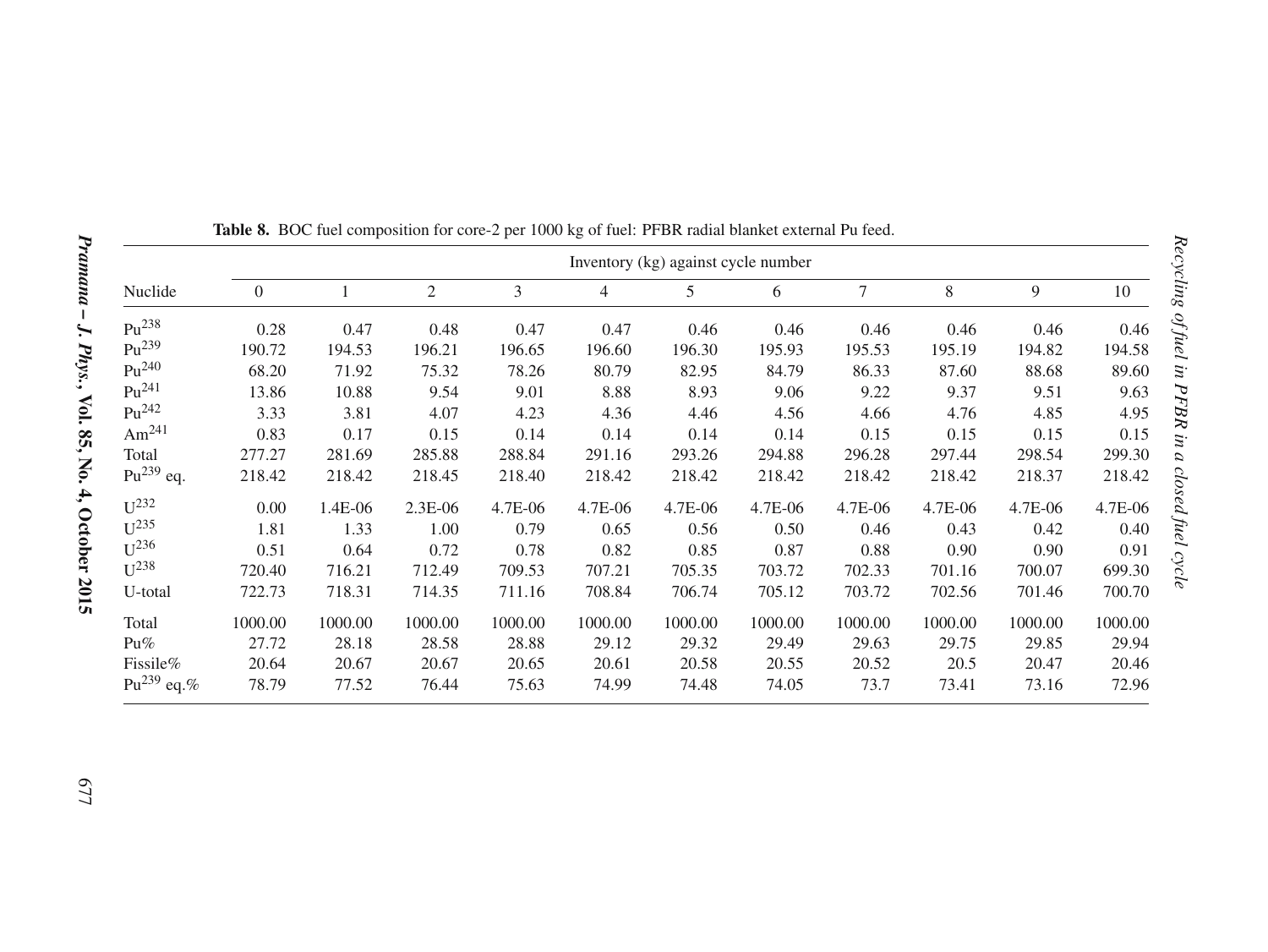|                        | Inventory (kg) against cycle number |         |                |         |         |         |         |         |         |         |         |  |  |
|------------------------|-------------------------------------|---------|----------------|---------|---------|---------|---------|---------|---------|---------|---------|--|--|
| Nuclide                | $\overline{0}$                      |         | $\overline{c}$ | 3       | 4       | 5       | 6       | 7       | 8       | 9       | 10      |  |  |
| $Pu^{238}$             | 0.28                                | 0.47    | 0.48           | 0.47    | 0.47    | 0.46    | 0.46    | 0.46    | 0.46    | 0.46    | 0.46    |  |  |
| $Pu^{239}$             | 190.72                              | 194.53  | 196.21         | 196.65  | 196.60  | 196.30  | 195.93  | 195.53  | 195.19  | 194.82  | 194.58  |  |  |
| $Pu^{240}$             | 68.20                               | 71.92   | 75.32          | 78.26   | 80.79   | 82.95   | 84.79   | 86.33   | 87.60   | 88.68   | 89.60   |  |  |
| $Pu^{241}$             | 13.86                               | 10.88   | 9.54           | 9.01    | 8.88    | 8.93    | 9.06    | 9.22    | 9.37    | 9.51    | 9.63    |  |  |
| $Pu^{242}$             | 3.33                                | 3.81    | 4.07           | 4.23    | 4.36    | 4.46    | 4.56    | 4.66    | 4.76    | 4.85    | 4.95    |  |  |
| Am $^{241}$            | 0.83                                | 0.17    | 0.15           | 0.14    | 0.14    | 0.14    | 0.14    | 0.15    | 0.15    | 0.15    | 0.15    |  |  |
| Total                  | 277.27                              | 281.69  | 285.88         | 288.84  | 291.16  | 293.26  | 294.88  | 296.28  | 297.44  | 298.54  | 299.30  |  |  |
| $Pu^{239}$ eq.         | 218.42                              | 218.42  | 218.45         | 218.40  | 218.42  | 218.42  | 218.42  | 218.42  | 218.42  | 218.37  | 218.42  |  |  |
| $\mathbf{U}^{232}$     | 0.00                                | 1.4E-06 | $2.3E-06$      | 4.7E-06 | 4.7E-06 | 4.7E-06 | 4.7E-06 | 4.7E-06 | 4.7E-06 | 4.7E-06 | 4.7E-06 |  |  |
| $U^{235}$              | 1.81                                | 1.33    | 1.00           | 0.79    | 0.65    | 0.56    | 0.50    | 0.46    | 0.43    | 0.42    | 0.40    |  |  |
| $U^{236}$              | 0.51                                | 0.64    | 0.72           | 0.78    | 0.82    | 0.85    | 0.87    | 0.88    | 0.90    | 0.90    | 0.91    |  |  |
| $U^{238}$              | 720.40                              | 716.21  | 712.49         | 709.53  | 707.21  | 705.35  | 703.72  | 702.33  | 701.16  | 700.07  | 699.30  |  |  |
| U-total                | 722.73                              | 718.31  | 714.35         | 711.16  | 708.84  | 706.74  | 705.12  | 703.72  | 702.56  | 701.46  | 700.70  |  |  |
| Total                  | 1000.00                             | 1000.00 | 1000.00        | 1000.00 | 1000.00 | 1000.00 | 1000.00 | 1000.00 | 1000.00 | 1000.00 | 1000.00 |  |  |
| $Pu\%$                 | 27.72                               | 28.18   | 28.58          | 28.88   | 29.12   | 29.32   | 29.49   | 29.63   | 29.75   | 29.85   | 29.94   |  |  |
| Fissile%               | 20.64                               | 20.67   | 20.67          | 20.65   | 20.61   | 20.58   | 20.55   | 20.52   | 20.5    | 20.47   | 20.46   |  |  |
| Pu <sup>239</sup> eq.% | 78.79                               | 77.52   | 76.44          | 75.63   | 74.99   | 74.48   | 74.05   | 73.7    | 73.41   | 73.16   | 72.96   |  |  |

**Table 8.** BOC fuel composition for core-2 per 1000 kg of fuel: PFBR radial blanket external Pu feed.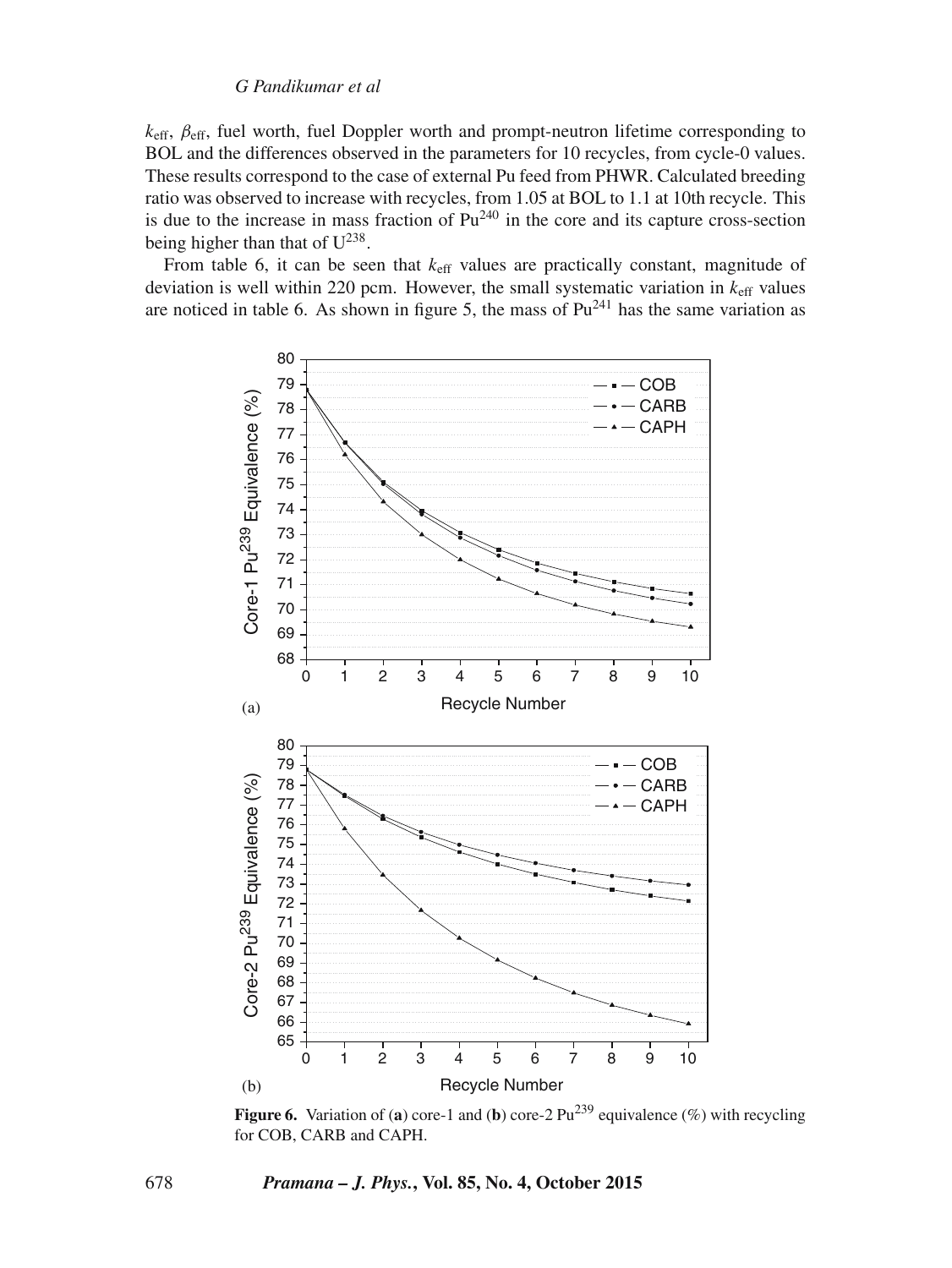$k<sub>eff</sub>$ ,  $\beta<sub>eff</sub>$ , fuel worth, fuel Doppler worth and prompt-neutron lifetime corresponding to BOL and the differences observed in the parameters for 10 recycles, from cycle-0 values. These results correspond to the case of external Pu feed from PHWR. Calculated breeding ratio was observed to increase with recycles, from 1.05 at BOL to 1.1 at 10th recycle. This is due to the increase in mass fraction of  $Pu^{240}$  in the core and its capture cross-section being higher than that of  $U^{238}$ .

From table 6, it can be seen that  $k_{\text{eff}}$  values are practically constant, magnitude of deviation is well within 220 pcm. However, the small systematic variation in  $k<sub>eff</sub>$  values are noticed in table 6. As shown in figure 5, the mass of  $Pu^{241}$  has the same variation as



**Figure 6.** Variation of (a) core-1 and (b) core-2  $Pu^{239}$  equivalence (%) with recycling for COB, CARB and CAPH.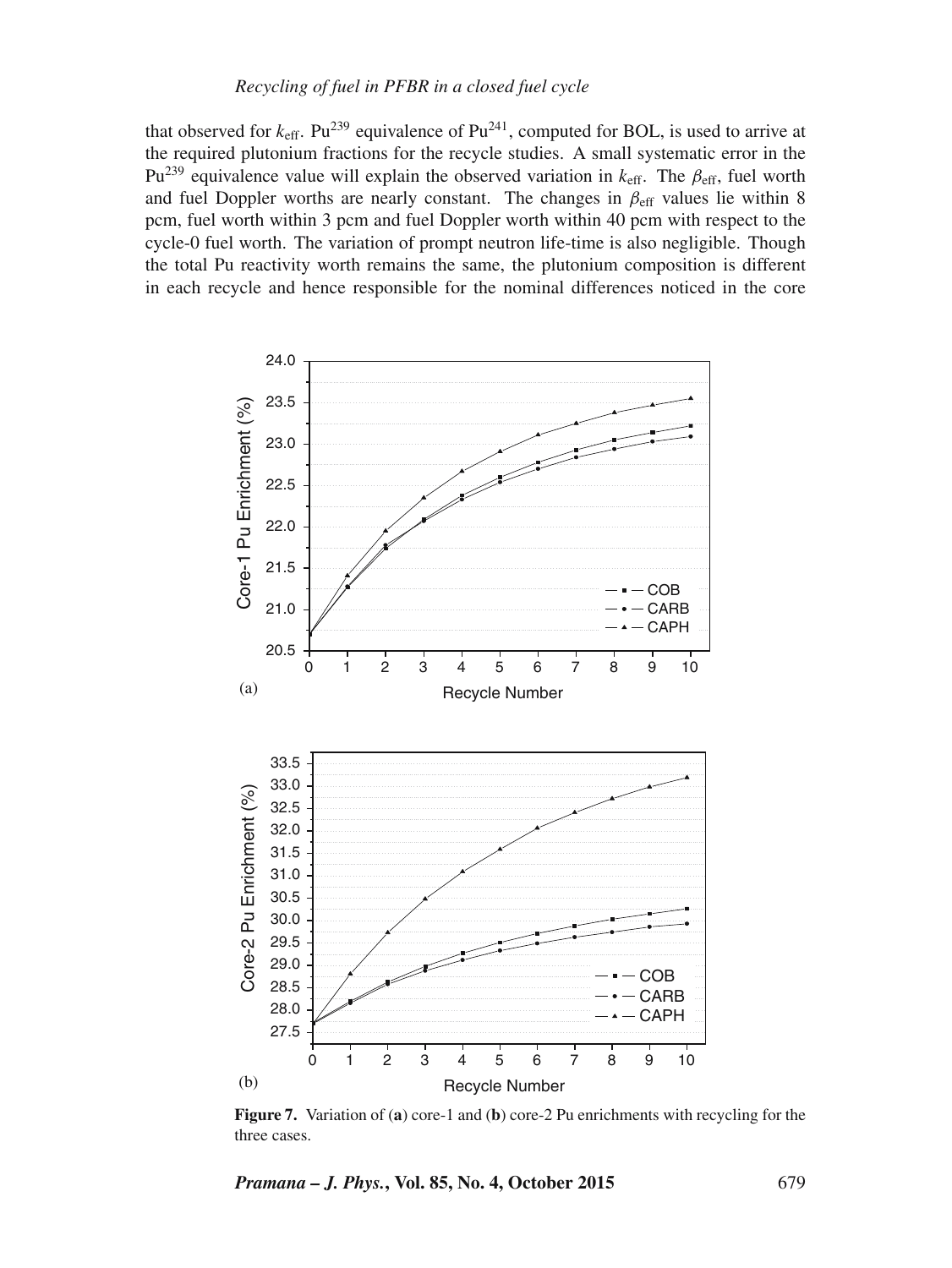# *Recycling of fuel in PFBR in a closed fuel cycle*

that observed for  $k_{\text{eff}}$ . Pu<sup>239</sup> equivalence of Pu<sup>241</sup>, computed for BOL, is used to arrive at the required plutonium fractions for the recycle studies. A small systematic error in the Pu<sup>239</sup> equivalence value will explain the observed variation in  $k<sub>eff</sub>$ . The  $\beta<sub>eff</sub>$ , fuel worth and fuel Doppler worths are nearly constant. The changes in  $\beta_{\text{eff}}$  values lie within 8 pcm, fuel worth within 3 pcm and fuel Doppler worth within 40 pcm with respect to the cycle-0 fuel worth. The variation of prompt neutron life-time is also negligible. Though the total Pu reactivity worth remains the same, the plutonium composition is different in each recycle and hence responsible for the nominal differences noticed in the core



**Figure 7.** Variation of (**a**) core-1 and (**b**) core-2 Pu enrichments with recycling for the three cases.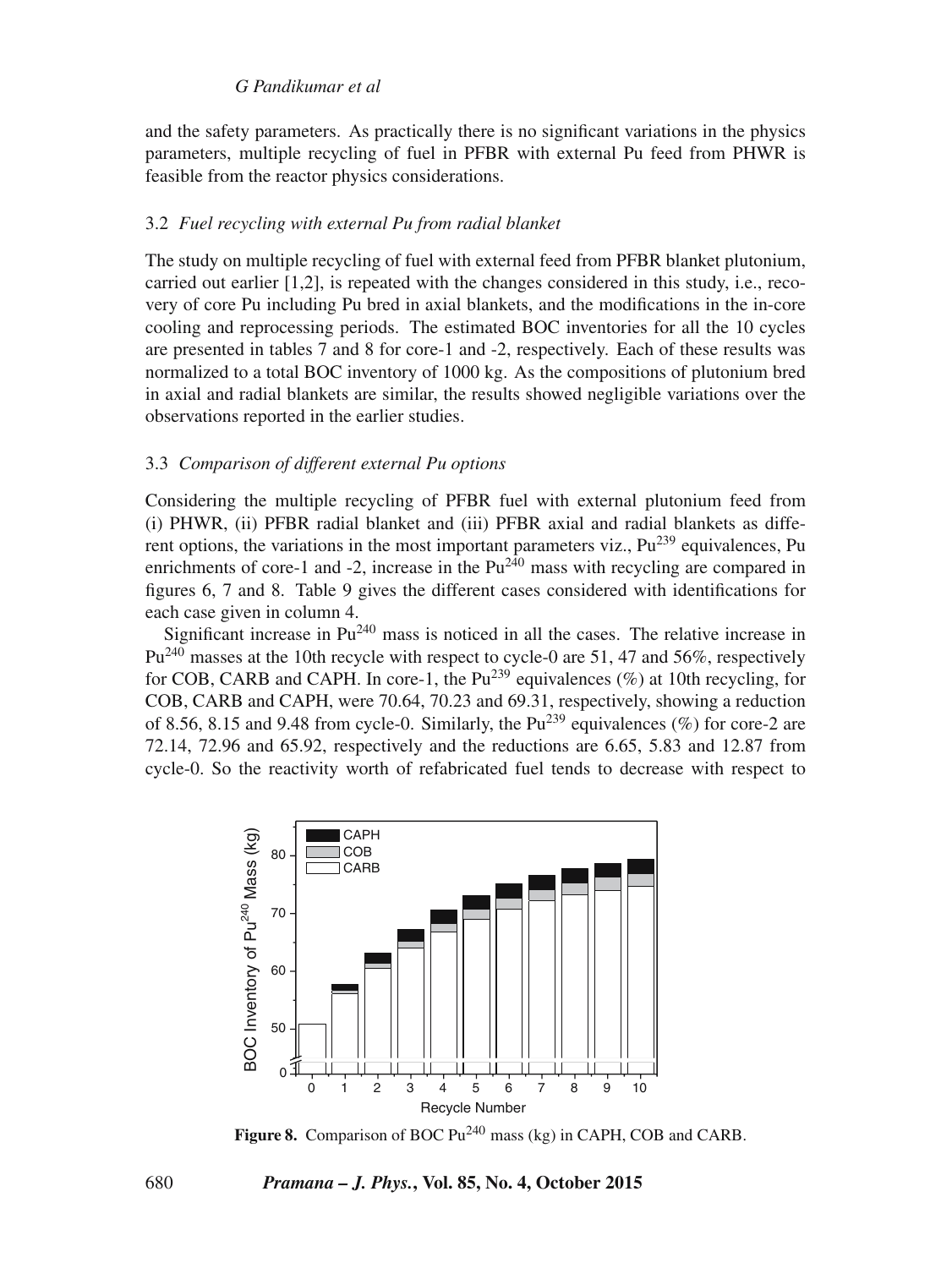and the safety parameters. As practically there is no significant variations in the physics parameters, multiple recycling of fuel in PFBR with external Pu feed from PHWR is feasible from the reactor physics considerations.

#### 3.2 *Fuel recycling with external Pu from radial blanket*

The study on multiple recycling of fuel with external feed from PFBR blanket plutonium, carried out earlier [1,2], is repeated with the changes considered in this study, i.e., recovery of core Pu including Pu bred in axial blankets, and the modifications in the in-core cooling and reprocessing periods. The estimated BOC inventories for all the 10 cycles are presented in tables 7 and 8 for core-1 and -2, respectively. Each of these results was normalized to a total BOC inventory of 1000 kg. As the compositions of plutonium bred in axial and radial blankets are similar, the results showed negligible variations over the observations reported in the earlier studies.

#### 3.3 *Comparison of different external Pu options*

Considering the multiple recycling of PFBR fuel with external plutonium feed from (i) PHWR, (ii) PFBR radial blanket and (iii) PFBR axial and radial blankets as different options, the variations in the most important parameters viz.,  $Pu^{239}$  equivalences, Pu enrichments of core-1 and -2, increase in the  $Pu^{240}$  mass with recycling are compared in figures 6, 7 and 8. Table 9 gives the different cases considered with identifications for each case given in column 4.

Significant increase in  $Pu^{240}$  mass is noticed in all the cases. The relative increase in Pu<sup>240</sup> masses at the 10th recycle with respect to cycle-0 are 51, 47 and 56%, respectively for COB, CARB and CAPH. In core-1, the  $Pu^{239}$  equivalences (%) at 10th recycling, for COB, CARB and CAPH, were 70.64, 70.23 and 69.31, respectively, showing a reduction of 8.56, 8.15 and 9.48 from cycle-0. Similarly, the  $Pu^{239}$  equivalences (%) for core-2 are 72.14, 72.96 and 65.92, respectively and the reductions are 6.65, 5.83 and 12.87 from cycle-0. So the reactivity worth of refabricated fuel tends to decrease with respect to



Figure 8. Comparison of BOC Pu<sup>240</sup> mass (kg) in CAPH, COB and CARB.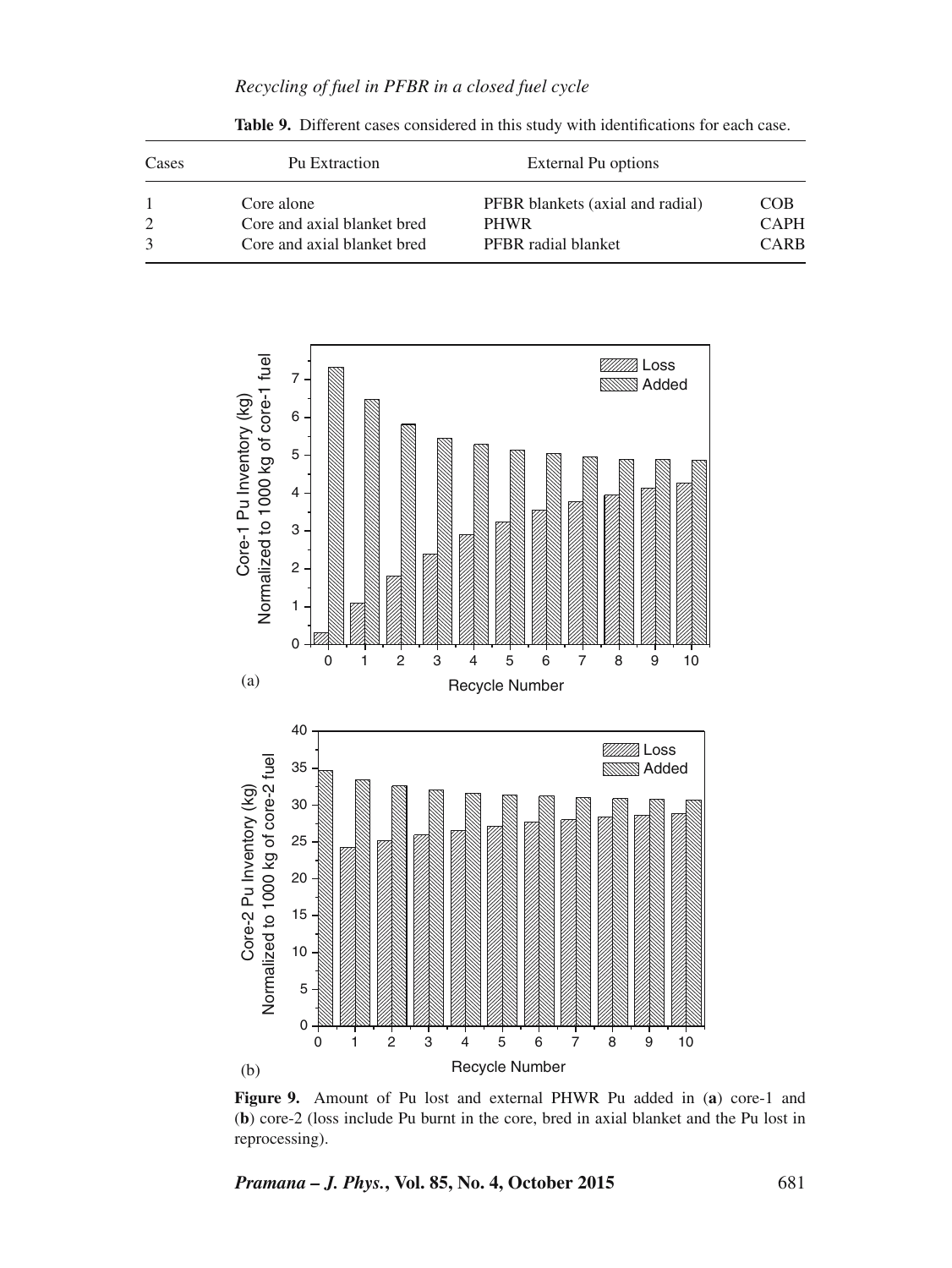*Recycling of fuel in PFBR in a closed fuel cycle*

| Cases | Pu Extraction               | External Pu options              |             |
|-------|-----------------------------|----------------------------------|-------------|
|       | Core alone                  | PFBR blankets (axial and radial) | COB.        |
|       | Core and axial blanket bred | <b>PHWR</b>                      | <b>CAPH</b> |
|       | Core and axial blanket bred | PFBR radial blanket              | CARB        |

**Table 9.** Different cases considered in this study with identifications for each case.



**Figure 9.** Amount of Pu lost and external PHWR Pu added in (**a**) core-1 and (**b**) core-2 (loss include Pu burnt in the core, bred in axial blanket and the Pu lost in reprocessing).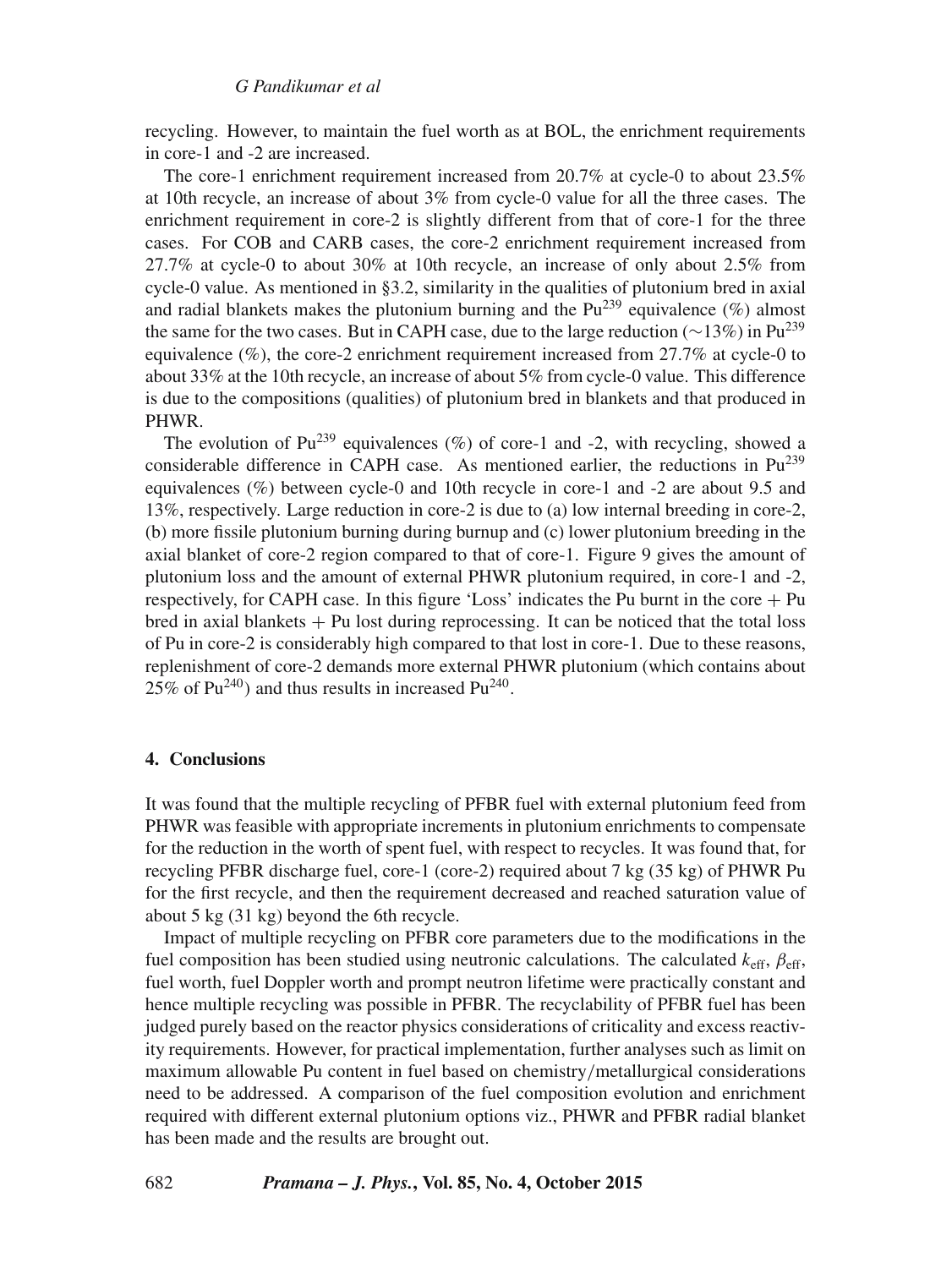recycling. However, to maintain the fuel worth as at BOL, the enrichment requirements in core-1 and -2 are increased.

The core-1 enrichment requirement increased from 20.7% at cycle-0 to about 23.5% at 10th recycle, an increase of about 3% from cycle-0 value for all the three cases. The enrichment requirement in core-2 is slightly different from that of core-1 for the three cases. For COB and CARB cases, the core-2 enrichment requirement increased from 27.7% at cycle-0 to about 30% at 10th recycle, an increase of only about 2.5% from cycle-0 value. As mentioned in §3.2, similarity in the qualities of plutonium bred in axial and radial blankets makes the plutonium burning and the  $Pu^{239}$  equivalence (%) almost the same for the two cases. But in CAPH case, due to the large reduction ( $\sim$ 13%) in Pu<sup>239</sup> equivalence  $(\%)$ , the core-2 enrichment requirement increased from 27.7% at cycle-0 to about 33% at the 10th recycle, an increase of about 5% from cycle-0 value. This difference is due to the compositions (qualities) of plutonium bred in blankets and that produced in PHWR.

The evolution of  $Pu^{239}$  equivalences (%) of core-1 and -2, with recycling, showed a considerable difference in CAPH case. As mentioned earlier, the reductions in  $Pu^{239}$ equivalences (%) between cycle-0 and 10th recycle in core-1 and -2 are about 9.5 and 13%, respectively. Large reduction in core-2 is due to (a) low internal breeding in core-2, (b) more fissile plutonium burning during burnup and (c) lower plutonium breeding in the axial blanket of core-2 region compared to that of core-1. Figure 9 gives the amount of plutonium loss and the amount of external PHWR plutonium required, in core-1 and -2, respectively, for CAPH case. In this figure 'Loss' indicates the Pu burnt in the core  $+$  Pu  $b$ red in axial blankets  $+$  Pu lost during reprocessing. It can be noticed that the total loss of Pu in core-2 is considerably high compared to that lost in core-1. Due to these reasons, replenishment of core-2 demands more external PHWR plutonium (which contains about  $25\%$  of Pu<sup>240</sup>) and thus results in increased Pu<sup>240</sup>.

#### **4. Conclusions**

It was found that the multiple recycling of PFBR fuel with external plutonium feed from PHWR was feasible with appropriate increments in plutonium enrichments to compensate for the reduction in the worth of spent fuel, with respect to recycles. It was found that, for recycling PFBR discharge fuel, core-1 (core-2) required about 7 kg (35 kg) of PHWR Pu for the first recycle, and then the requirement decreased and reached saturation value of about 5 kg (31 kg) beyond the 6th recycle.

Impact of multiple recycling on PFBR core parameters due to the modifications in the fuel composition has been studied using neutronic calculations. The calculated  $k_{\text{eff}}$ ,  $\beta_{\text{eff}}$ , fuel worth, fuel Doppler worth and prompt neutron lifetime were practically constant and hence multiple recycling was possible in PFBR. The recyclability of PFBR fuel has been judged purely based on the reactor physics considerations of criticality and excess reactivity requirements. However, for practical implementation, further analyses such as limit on maximum allowable Pu content in fuel based on chemistry/metallurgical considerations need to be addressed. A comparison of the fuel composition evolution and enrichment required with different external plutonium options viz., PHWR and PFBR radial blanket has been made and the results are brought out.